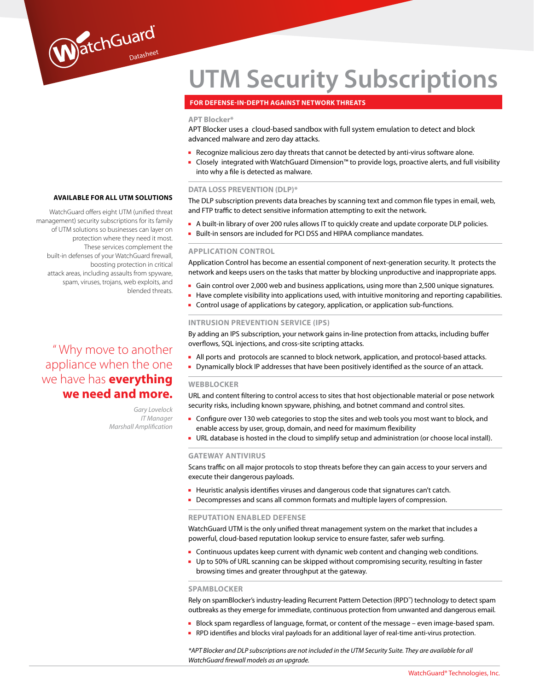# **UTM Security Subscriptions**

# **For defense-in-depth against network threats**

# **APT Blocker\***

APT Blocker uses a cloud-based sandbox with full system emulation to detect and block advanced malware and zero day attacks.

- Recognize malicious zero day threats that cannot be detected by anti-virus software alone.
- Closely integrated with WatchGuard Dimension™ to provide logs, proactive alerts, and full visibility into why a file is detected as malware.

#### **DATA LOSS PREVENTION (DLP)\***

The DLP subscription prevents data breaches by scanning text and common file types in email, web, and FTP traffic to detect sensitive information attempting to exit the network.

- A built-in library of over 200 rules allows IT to quickly create and update corporate DLP policies.
- Built-in sensors are included for PCI DSS and HIPAA compliance mandates.

# **APPLICATION CONTROL**

Application Control has become an essential component of next-generation security. It protects the network and keeps users on the tasks that matter by blocking unproductive and inappropriate apps.

- Gain control over 2,000 web and business applications, using more than 2,500 unique signatures.
- Have complete visibility into applications used, with intuitive monitoring and reporting capabilities.
- Control usage of applications by category, application, or application sub-functions.

# **INTRUSION PREVENTION SERVICE (IPS)**

By adding an IPS subscription, your network gains in-line protection from attacks, including buffer overflows, SQL injections, and cross-site scripting attacks.

- All ports and protocols are scanned to block network, application, and protocol-based attacks.
- Dynamically block IP addresses that have been positively identified as the source of an attack.

# **WEBBLOCKER**

URL and content filtering to control access to sites that host objectionable material or pose network security risks, including known spyware, phishing, and botnet command and control sites.

- Configure over 130 web categories to stop the sites and web tools you most want to block, and enable access by user, group, domain, and need for maximum flexibility
- URL database is hosted in the cloud to simplify setup and administration (or choose local install).

#### **GATEWAY ANTIVIRUS**

Scans traffic on all major protocols to stop threats before they can gain access to your servers and execute their dangerous payloads.

- Heuristic analysis identifies viruses and dangerous code that signatures can't catch.
- Decompresses and scans all common formats and multiple layers of compression.

## **REPUTATION ENABLED DEFENSE**

WatchGuard UTM is the only unified threat management system on the market that includes a powerful, cloud-based reputation lookup service to ensure faster, safer web surfing.

- Continuous updates keep current with dynamic web content and changing web conditions.
- Up to 50% of URL scanning can be skipped without compromising security, resulting in faster browsing times and greater throughput at the gateway.

#### **SPAMBLOCKER**

Rely on spamBlocker's industry-leading Recurrent Pattern Detection (RPD™) technology to detect spam outbreaks as they emerge for immediate, continuous protection from unwanted and dangerous email.

- Block spam regardless of language, format, or content of the message even image-based spam.
- RPD identifies and blocks viral payloads for an additional layer of real-time anti-virus protection.

*\*APT Blocker and DLP subscriptions are not included in the UTM Security Suite. They are available for all WatchGuard firewall models as an upgrade.* 

# **Av ailable for all UTm solutions**

WatchGuard

WatchGuard offers eight UTM (unified threat management) security subscriptions for its family of UTM solutions so businesses can layer on protection where they need it most. These services complement the built-in defenses of your WatchGuard firewall, boosting protection in critical attack areas, including assaults from spyware, spam, viruses, trojans, web exploits, and blended threats.

# " Why move to another appliance when the one we have has **everything we need and more.**

*Gary Lovelock IT Manager Marshall Amplification*